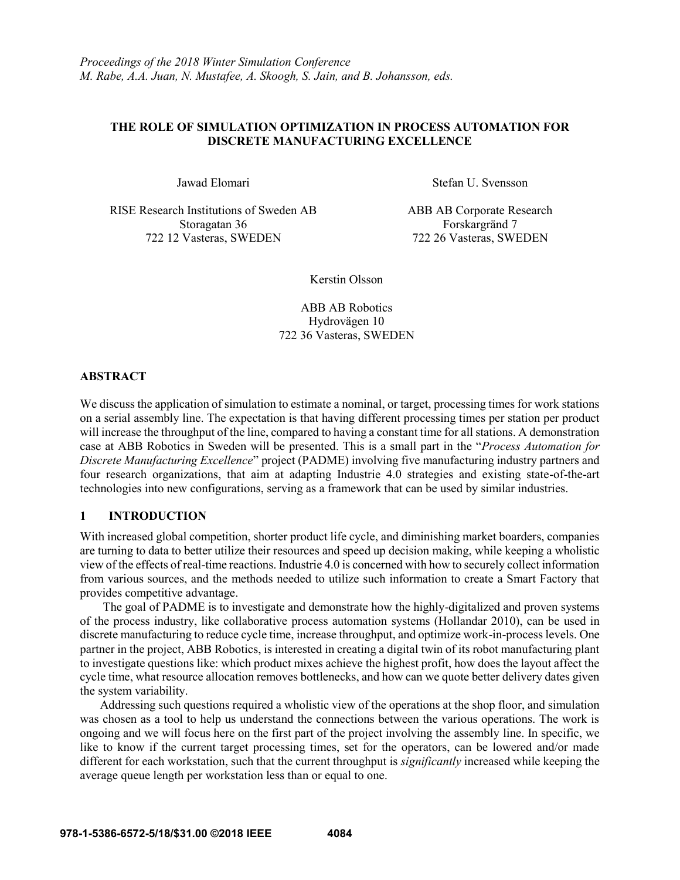### **THE ROLE OF SIMULATION OPTIMIZATION IN PROCESS AUTOMATION FOR DISCRETE MANUFACTURING EXCELLENCE**

RISE Research Institutions of Sweden AB Storagatan 36 722 12 Vasteras, SWEDEN

Jawad Elomari Stefan U. Svensson

ABB AB Corporate Research Forskargränd 7 722 26 Vasteras, SWEDEN

Kerstin Olsson

ABB AB Robotics Hydrovägen 10 722 36 Vasteras, SWEDEN

### **ABSTRACT**

We discuss the application of simulation to estimate a nominal, or target, processing times for work stations on a serial assembly line. The expectation is that having different processing times per station per product will increase the throughput of the line, compared to having a constant time for all stations. A demonstration case at ABB Robotics in Sweden will be presented. This is a small part in the "*Process Automation for Discrete Manufacturing Excellence*" project (PADME) involving five manufacturing industry partners and four research organizations, that aim at adapting Industrie 4.0 strategies and existing state-of-the-art technologies into new configurations, serving as a framework that can be used by similar industries.

# **1 INTRODUCTION**

With increased global competition, shorter product life cycle, and diminishing market boarders, companies are turning to data to better utilize their resources and speed up decision making, while keeping a wholistic view of the effects of real-time reactions. Industrie 4.0 is concerned with how to securely collect information from various sources, and the methods needed to utilize such information to create a Smart Factory that provides competitive advantage.

The goal of PADME is to investigate and demonstrate how the highly-digitalized and proven systems of the process industry, like collaborative process automation systems (Hollandar 2010), can be used in discrete manufacturing to reduce cycle time, increase throughput, and optimize work-in-process levels. One partner in the project, ABB Robotics, is interested in creating a digital twin of its robot manufacturing plant to investigate questions like: which product mixes achieve the highest profit, how does the layout affect the cycle time, what resource allocation removes bottlenecks, and how can we quote better delivery dates given the system variability.

Addressing such questions required a wholistic view of the operations at the shop floor, and simulation was chosen as a tool to help us understand the connections between the various operations. The work is ongoing and we will focus here on the first part of the project involving the assembly line. In specific, we like to know if the current target processing times, set for the operators, can be lowered and/or made different for each workstation, such that the current throughput is *significantly* increased while keeping the average queue length per workstation less than or equal to one.